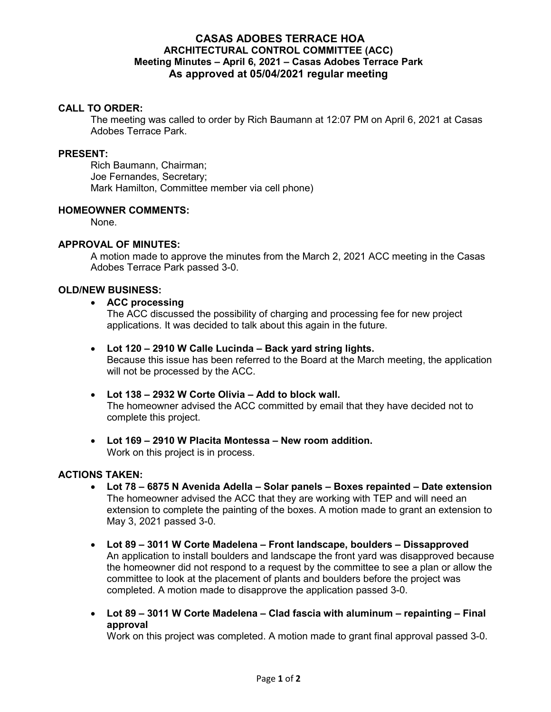# **CASAS ADOBES TERRACE HOA ARCHITECTURAL CONTROL COMMITTEE (ACC) Meeting Minutes – April 6, 2021 – Casas Adobes Terrace Park As approved at 05/04/2021 regular meeting**

### **CALL TO ORDER:**

The meeting was called to order by Rich Baumann at 12:07 PM on April 6, 2021 at Casas Adobes Terrace Park.

### **PRESENT:**

Rich Baumann, Chairman; Joe Fernandes, Secretary; Mark Hamilton, Committee member via cell phone)

### **HOMEOWNER COMMENTS:**

None.

### **APPROVAL OF MINUTES:**

A motion made to approve the minutes from the March 2, 2021 ACC meeting in the Casas Adobes Terrace Park passed 3-0.

#### **OLD/NEW BUSINESS:**

#### **ACC processing**

The ACC discussed the possibility of charging and processing fee for new project applications. It was decided to talk about this again in the future.

### **Lot 120 – 2910 W Calle Lucinda – Back yard string lights.**

Because this issue has been referred to the Board at the March meeting, the application will not be processed by the ACC.

### **Lot 138 – 2932 W Corte Olivia – Add to block wall.**

The homeowner advised the ACC committed by email that they have decided not to complete this project.

 **Lot 169 – 2910 W Placita Montessa – New room addition.**  Work on this project is in process.

### **ACTIONS TAKEN:**

- **Lot 78 6875 N Avenida Adella Solar panels Boxes repainted Date extension**  The homeowner advised the ACC that they are working with TEP and will need an extension to complete the painting of the boxes. A motion made to grant an extension to May 3, 2021 passed 3-0.
- **Lot 89 3011 W Corte Madelena Front landscape, boulders Dissapproved**  An application to install boulders and landscape the front yard was disapproved because the homeowner did not respond to a request by the committee to see a plan or allow the committee to look at the placement of plants and boulders before the project was completed. A motion made to disapprove the application passed 3-0.
- **Lot 89 3011 W Corte Madelena Clad fascia with aluminum repainting Final approval**

Work on this project was completed. A motion made to grant final approval passed 3-0.